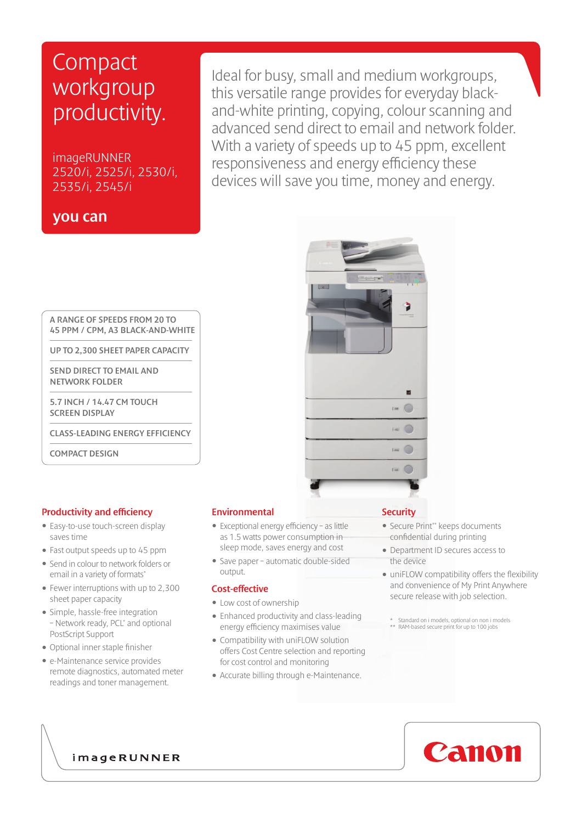# **Compact** workgroup productivity.

imageRUNNER 2520/i, 2525/i, 2530/i, 2535/i, 2545/i

### you can

Ideal for busy, small and medium workgroups, this versatile range provides for everyday blackand-white printing, copying, colour scanning and advanced send direct to email and network folder. With a variety of speeds up to 45 ppm, excellent responsiveness and energy efficiency these devices will save you time, money and energy.

A RANGE OF SPEEDS FROM 20 TO 45 PPM / CPM, A3 BLACK-AND-WHITE

UP TO 2,300 SHEET PAPER CAPACITY

 SEND DIRECT TO EMAIL AND NETWORK FOLDER

 5.7 INCH / 14.47 CM TOUCH SCREEN DISPLAY

CLASS-LEADING ENERGY EFFICIENCY

COMPACT DESIGN

#### Productivity and efficiency

- Easy-to-use touch-screen display saves time
- Fast output speeds up to 45 ppm
- Send in colour to network folders or email in a variety of formats\*
- Fewer interruptions with up to 2,300 sheet paper capacity
- Simple, hassle-free integration – Network ready, PCL\* and optional PostScript Support
- • Optional inner staple finisher
- e-Maintenance service provides remote diagnostics, automated meter readings and toner management.

#### Environmental

- Exceptional energy efficiency as little as 1.5 watts power consumption in sleep mode, saves energy and cost
- Save paper automatic double-sided output.

#### Cost-effective

- Low cost of ownership
- Enhanced productivity and class-leading energy efficiency maximises value
- Compatibility with uniFLOW solution offers Cost Centre selection and reporting for cost control and monitoring
- Accurate billing through e-Maintenance.

#### **Security**

- Secure Print\*\* keeps documents confidential during printing
- Department ID secures access to the device
- uniFLOW compatibility offers the flexibility and convenience of My Print Anywhere secure release with job selection.
	- \* Standard on i models, optional on non i models \*\* RAM-based secure print for up to 100 jobs

Canon



imageRUNNER